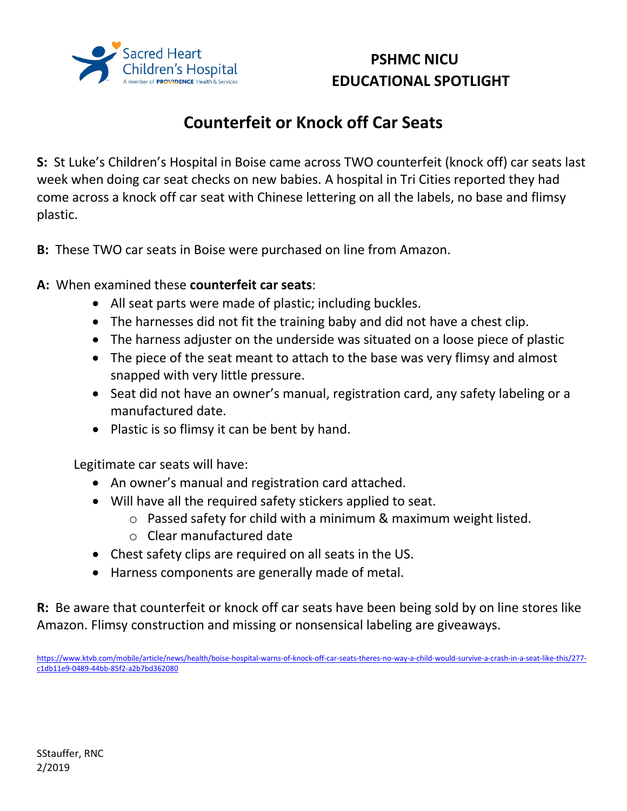

## **PSHMC NICU EDUCATIONAL SPOTLIGHT**

## **Counterfeit or Knock off Car Seats**

**S:** St Luke's Children's Hospital in Boise came across TWO counterfeit (knock off) car seats last week when doing car seat checks on new babies. A hospital in Tri Cities reported they had come across a knock off car seat with Chinese lettering on all the labels, no base and flimsy plastic.

**B:** These TWO car seats in Boise were purchased on line from Amazon.

## **A:** When examined these **counterfeit car seats**:

- All seat parts were made of plastic; including buckles.
- The harnesses did not fit the training baby and did not have a chest clip.
- The harness adjuster on the underside was situated on a loose piece of plastic
- The piece of the seat meant to attach to the base was very flimsy and almost snapped with very little pressure.
- Seat did not have an owner's manual, registration card, any safety labeling or a manufactured date.
- Plastic is so flimsy it can be bent by hand.

Legitimate car seats will have:

- An owner's manual and registration card attached.
- Will have all the required safety stickers applied to seat.
	- o Passed safety for child with a minimum & maximum weight listed.
	- o Clear manufactured date
- Chest safety clips are required on all seats in the US.
- Harness components are generally made of metal.

**R:** Be aware that counterfeit or knock off car seats have been being sold by on line stores like Amazon. Flimsy construction and missing or nonsensical labeling are giveaways.

[https://www.ktvb.com/mobile/article/news/health/boise-hospital-warns-of-knock-off-car-seats-theres-no-way-a-child-would-survive-a-crash-in-a-seat-like-this/277](https://email.providence.org/owa/redir.aspx?C=10xSoEAR_ccGKAaTUoH3hscXRLUsZ6nHDzIBCSL37pLcCupRGY7WCA..&URL=https%3a%2f%2fwww.ktvb.com%2fmobile%2farticle%2fnews%2fhealth%2fboise-hospital-warns-of-knock-off-car-seats-theres-no-way-a-child-would-survive-a-crash-in-a-seat-like-this%2f277-c1db11e9-0489-44bb-85f2-a2b7bd362080) [c1db11e9-0489-44bb-85f2-a2b7bd362080](https://email.providence.org/owa/redir.aspx?C=10xSoEAR_ccGKAaTUoH3hscXRLUsZ6nHDzIBCSL37pLcCupRGY7WCA..&URL=https%3a%2f%2fwww.ktvb.com%2fmobile%2farticle%2fnews%2fhealth%2fboise-hospital-warns-of-knock-off-car-seats-theres-no-way-a-child-would-survive-a-crash-in-a-seat-like-this%2f277-c1db11e9-0489-44bb-85f2-a2b7bd362080)